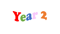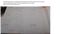In Maths this week year 2 having been learning how to subtract using the column method. Ryan completed both orange and red challenge without any support Wow! I am so amazed by your work.

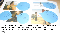

For English we watched a short film that has no speaking. The children had to use their imagination to predict what the characters were saying. Tehila had some very good ideas on what she thought the characters were saying.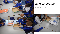

For our ECO afternoon, year 2 were looking at Global Warming. We spoke about how and why the earth is getting warmer. We completed an experiment on Green House Gases.

First we made our own green houses.